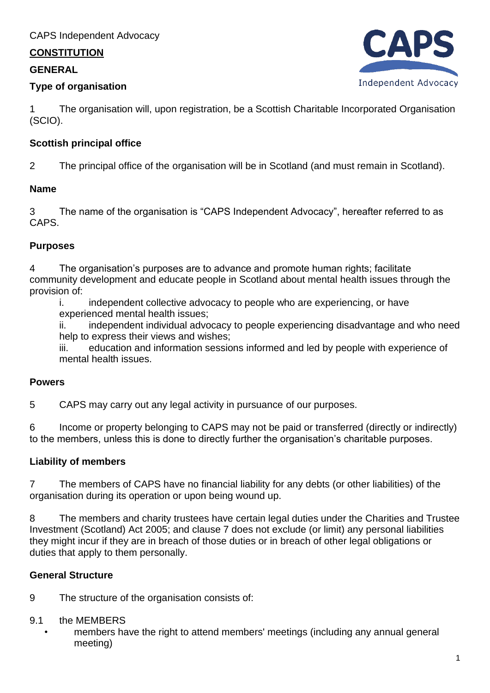## **CONSTITUTION**

## **GENERAL**

## **Type of organisation**



1 The organisation will, upon registration, be a Scottish Charitable Incorporated Organisation (SCIO).

## **Scottish principal office**

2 The principal office of the organisation will be in Scotland (and must remain in Scotland).

## **Name**

3 The name of the organisation is "CAPS Independent Advocacy", hereafter referred to as CAPS.

## **Purposes**

4 The organisation's purposes are to advance and promote human rights; facilitate community development and educate people in Scotland about mental health issues through the provision of:

i. independent collective advocacy to people who are experiencing, or have experienced mental health issues;

ii. independent individual advocacy to people experiencing disadvantage and who need help to express their views and wishes;

iii. education and information sessions informed and led by people with experience of mental health issues.

## **Powers**

5 CAPS may carry out any legal activity in pursuance of our purposes.

6 Income or property belonging to CAPS may not be paid or transferred (directly or indirectly) to the members, unless this is done to directly further the organisation's charitable purposes.

# **Liability of members**

7 The members of CAPS have no financial liability for any debts (or other liabilities) of the organisation during its operation or upon being wound up.

8 The members and charity trustees have certain legal duties under the Charities and Trustee Investment (Scotland) Act 2005; and clause 7 does not exclude (or limit) any personal liabilities they might incur if they are in breach of those duties or in breach of other legal obligations or duties that apply to them personally.

# **General Structure**

9 The structure of the organisation consists of:

# 9.1 the MEMBERS

members have the right to attend members' meetings (including any annual general meeting)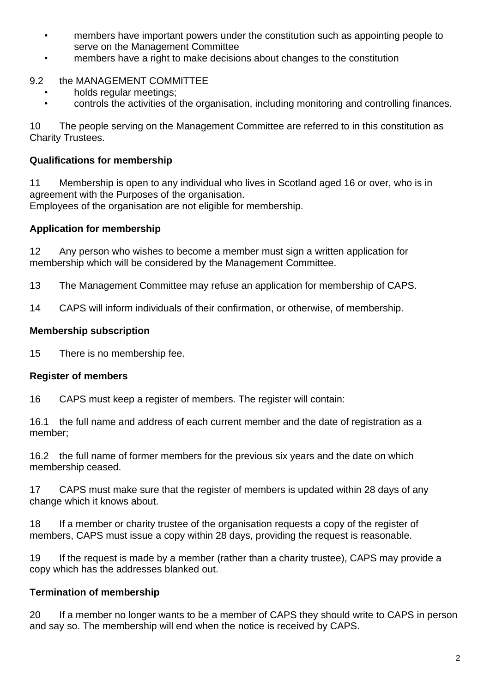- members have important powers under the constitution such as appointing people to serve on the Management Committee
- members have a right to make decisions about changes to the constitution

## 9.2 the MANAGEMENT COMMITTEE

- holds regular meetings;
- controls the activities of the organisation, including monitoring and controlling finances.

10 The people serving on the Management Committee are referred to in this constitution as Charity Trustees.

### **Qualifications for membership**

11 Membership is open to any individual who lives in Scotland aged 16 or over, who is in agreement with the Purposes of the organisation. Employees of the organisation are not eligible for membership.

### **Application for membership**

12 Any person who wishes to become a member must sign a written application for membership which will be considered by the Management Committee.

13 The Management Committee may refuse an application for membership of CAPS.

14 CAPS will inform individuals of their confirmation, or otherwise, of membership.

### **Membership subscription**

15 There is no membership fee.

### **Register of members**

16 CAPS must keep a register of members. The register will contain:

16.1 the full name and address of each current member and the date of registration as a member;

16.2 the full name of former members for the previous six years and the date on which membership ceased.

17 CAPS must make sure that the register of members is updated within 28 days of any change which it knows about.

18 If a member or charity trustee of the organisation requests a copy of the register of members, CAPS must issue a copy within 28 days, providing the request is reasonable.

19 If the request is made by a member (rather than a charity trustee), CAPS may provide a copy which has the addresses blanked out.

### **Termination of membership**

20 If a member no longer wants to be a member of CAPS they should write to CAPS in person and say so. The membership will end when the notice is received by CAPS.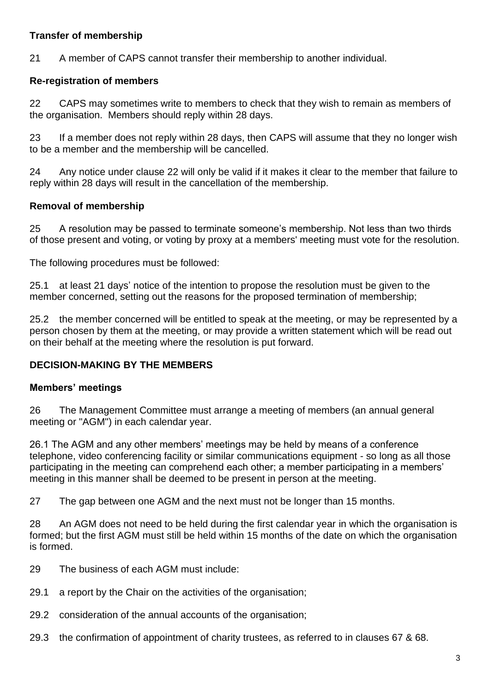### **Transfer of membership**

21 A member of CAPS cannot transfer their membership to another individual.

## **Re-registration of members**

22 CAPS may sometimes write to members to check that they wish to remain as members of the organisation. Members should reply within 28 days.

23 If a member does not reply within 28 days, then CAPS will assume that they no longer wish to be a member and the membership will be cancelled.

24 Any notice under clause 22 will only be valid if it makes it clear to the member that failure to reply within 28 days will result in the cancellation of the membership.

### **Removal of membership**

25 A resolution may be passed to terminate someone's membership. Not less than two thirds of those present and voting, or voting by proxy at a members' meeting must vote for the resolution.

The following procedures must be followed:

25.1 at least 21 days' notice of the intention to propose the resolution must be given to the member concerned, setting out the reasons for the proposed termination of membership;

25.2 the member concerned will be entitled to speak at the meeting, or may be represented by a person chosen by them at the meeting, or may provide a written statement which will be read out on their behalf at the meeting where the resolution is put forward.

## **DECISION-MAKING BY THE MEMBERS**

### **Members' meetings**

26 The Management Committee must arrange a meeting of members (an annual general meeting or "AGM") in each calendar year.

26.1 The AGM and any other members' meetings may be held by means of a conference telephone, video conferencing facility or similar communications equipment - so long as all those participating in the meeting can comprehend each other; a member participating in a members' meeting in this manner shall be deemed to be present in person at the meeting.

27 The gap between one AGM and the next must not be longer than 15 months.

28 An AGM does not need to be held during the first calendar year in which the organisation is formed; but the first AGM must still be held within 15 months of the date on which the organisation is formed.

- 29 The business of each AGM must include:
- 29.1 a report by the Chair on the activities of the organisation;
- 29.2 consideration of the annual accounts of the organisation;
- 29.3 the confirmation of appointment of charity trustees, as referred to in clauses 67 & 68.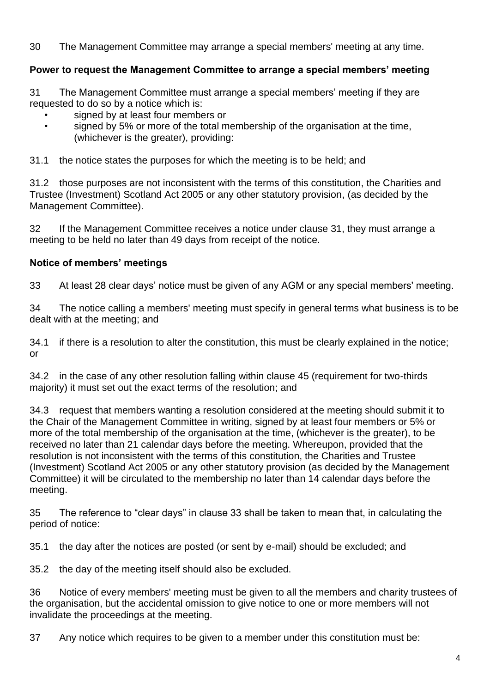30 The Management Committee may arrange a special members' meeting at any time.

## **Power to request the Management Committee to arrange a special members' meeting**

31 The Management Committee must arrange a special members' meeting if they are requested to do so by a notice which is:

- signed by at least four members or
- signed by 5% or more of the total membership of the organisation at the time, (whichever is the greater), providing:

31.1 the notice states the purposes for which the meeting is to be held; and

31.2 those purposes are not inconsistent with the terms of this constitution, the Charities and Trustee (Investment) Scotland Act 2005 or any other statutory provision, (as decided by the Management Committee).

32 If the Management Committee receives a notice under clause 31, they must arrange a meeting to be held no later than 49 days from receipt of the notice.

### **Notice of members' meetings**

33 At least 28 clear days' notice must be given of any AGM or any special members' meeting.

34 The notice calling a members' meeting must specify in general terms what business is to be dealt with at the meeting; and

34.1 if there is a resolution to alter the constitution, this must be clearly explained in the notice; or

34.2 in the case of any other resolution falling within clause 45 (requirement for two-thirds majority) it must set out the exact terms of the resolution; and

34.3 request that members wanting a resolution considered at the meeting should submit it to the Chair of the Management Committee in writing, signed by at least four members or 5% or more of the total membership of the organisation at the time, (whichever is the greater), to be received no later than 21 calendar days before the meeting. Whereupon, provided that the resolution is not inconsistent with the terms of this constitution, the Charities and Trustee (Investment) Scotland Act 2005 or any other statutory provision (as decided by the Management Committee) it will be circulated to the membership no later than 14 calendar days before the meeting.

35 The reference to "clear days" in clause 33 shall be taken to mean that, in calculating the period of notice:

35.1 the day after the notices are posted (or sent by e-mail) should be excluded; and

35.2 the day of the meeting itself should also be excluded.

36 Notice of every members' meeting must be given to all the members and charity trustees of the organisation, but the accidental omission to give notice to one or more members will not invalidate the proceedings at the meeting.

37 Any notice which requires to be given to a member under this constitution must be: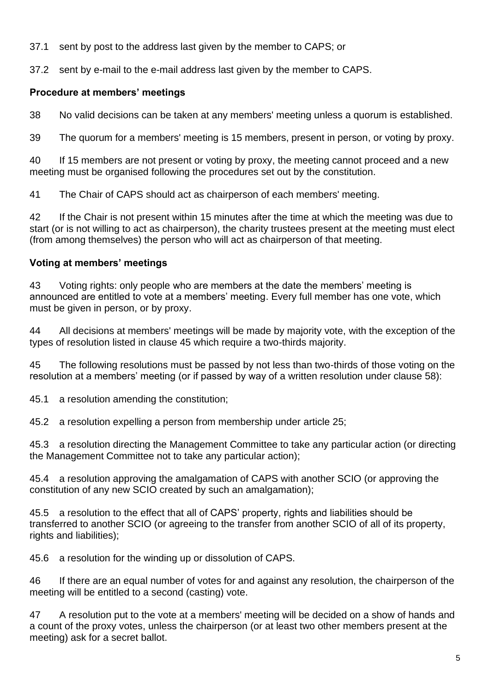37.1 sent by post to the address last given by the member to CAPS; or

37.2 sent by e-mail to the e-mail address last given by the member to CAPS.

## **Procedure at members' meetings**

38 No valid decisions can be taken at any members' meeting unless a quorum is established.

39 The quorum for a members' meeting is 15 members, present in person, or voting by proxy.

40 If 15 members are not present or voting by proxy, the meeting cannot proceed and a new meeting must be organised following the procedures set out by the constitution.

41 The Chair of CAPS should act as chairperson of each members' meeting.

42 If the Chair is not present within 15 minutes after the time at which the meeting was due to start (or is not willing to act as chairperson), the charity trustees present at the meeting must elect (from among themselves) the person who will act as chairperson of that meeting.

## **Voting at members' meetings**

43 Voting rights: only people who are members at the date the members' meeting is announced are entitled to vote at a members' meeting. Every full member has one vote, which must be given in person, or by proxy.

44 All decisions at members' meetings will be made by majority vote, with the exception of the types of resolution listed in clause 45 which require a two-thirds majority.

45 The following resolutions must be passed by not less than two-thirds of those voting on the resolution at a members' meeting (or if passed by way of a written resolution under clause 58):

45.1 a resolution amending the constitution;

45.2 a resolution expelling a person from membership under article 25;

45.3 a resolution directing the Management Committee to take any particular action (or directing the Management Committee not to take any particular action);

45.4 a resolution approving the amalgamation of CAPS with another SCIO (or approving the constitution of any new SCIO created by such an amalgamation);

45.5 a resolution to the effect that all of CAPS' property, rights and liabilities should be transferred to another SCIO (or agreeing to the transfer from another SCIO of all of its property, rights and liabilities);

45.6 a resolution for the winding up or dissolution of CAPS.

46 If there are an equal number of votes for and against any resolution, the chairperson of the meeting will be entitled to a second (casting) vote.

47 A resolution put to the vote at a members' meeting will be decided on a show of hands and a count of the proxy votes, unless the chairperson (or at least two other members present at the meeting) ask for a secret ballot.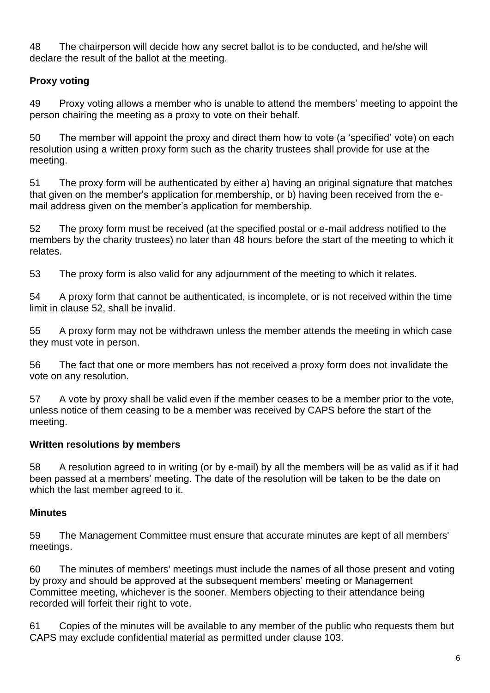48 The chairperson will decide how any secret ballot is to be conducted, and he/she will declare the result of the ballot at the meeting.

## **Proxy voting**

49 Proxy voting allows a member who is unable to attend the members' meeting to appoint the person chairing the meeting as a proxy to vote on their behalf.

50 The member will appoint the proxy and direct them how to vote (a 'specified' vote) on each resolution using a written proxy form such as the charity trustees shall provide for use at the meeting.

51 The proxy form will be authenticated by either a) having an original signature that matches that given on the member's application for membership, or b) having been received from the email address given on the member's application for membership.

52 The proxy form must be received (at the specified postal or e-mail address notified to the members by the charity trustees) no later than 48 hours before the start of the meeting to which it relates.

53 The proxy form is also valid for any adjournment of the meeting to which it relates.

54 A proxy form that cannot be authenticated, is incomplete, or is not received within the time limit in clause 52, shall be invalid.

55 A proxy form may not be withdrawn unless the member attends the meeting in which case they must vote in person.

56 The fact that one or more members has not received a proxy form does not invalidate the vote on any resolution.

57 A vote by proxy shall be valid even if the member ceases to be a member prior to the vote, unless notice of them ceasing to be a member was received by CAPS before the start of the meeting.

## **Written resolutions by members**

58 A resolution agreed to in writing (or by e-mail) by all the members will be as valid as if it had been passed at a members' meeting. The date of the resolution will be taken to be the date on which the last member agreed to it.

## **Minutes**

59 The Management Committee must ensure that accurate minutes are kept of all members' meetings.

60 The minutes of members' meetings must include the names of all those present and voting by proxy and should be approved at the subsequent members' meeting or Management Committee meeting, whichever is the sooner. Members objecting to their attendance being recorded will forfeit their right to vote.

61 Copies of the minutes will be available to any member of the public who requests them but CAPS may exclude confidential material as permitted under clause 103.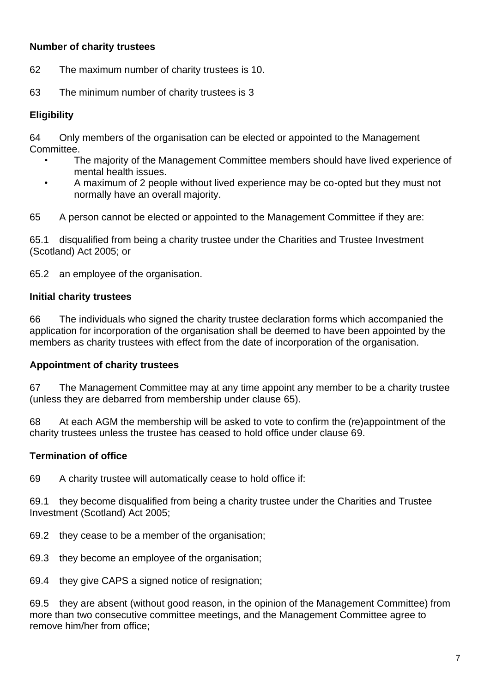### **Number of charity trustees**

62 The maximum number of charity trustees is 10.

63 The minimum number of charity trustees is 3

### **Eligibility**

64 Only members of the organisation can be elected or appointed to the Management Committee.

- The majority of the Management Committee members should have lived experience of mental health issues.
- A maximum of 2 people without lived experience may be co-opted but they must not normally have an overall majority.

65 A person cannot be elected or appointed to the Management Committee if they are:

65.1 disqualified from being a charity trustee under the Charities and Trustee Investment (Scotland) Act 2005; or

65.2 an employee of the organisation.

#### **Initial charity trustees**

66 The individuals who signed the charity trustee declaration forms which accompanied the application for incorporation of the organisation shall be deemed to have been appointed by the members as charity trustees with effect from the date of incorporation of the organisation.

#### **Appointment of charity trustees**

67 The Management Committee may at any time appoint any member to be a charity trustee (unless they are debarred from membership under clause 65).

68 At each AGM the membership will be asked to vote to confirm the (re)appointment of the charity trustees unless the trustee has ceased to hold office under clause 69.

### **Termination of office**

69 A charity trustee will automatically cease to hold office if:

69.1 they become disqualified from being a charity trustee under the Charities and Trustee Investment (Scotland) Act 2005;

- 69.2 they cease to be a member of the organisation;
- 69.3 they become an employee of the organisation;

69.4 they give CAPS a signed notice of resignation;

69.5 they are absent (without good reason, in the opinion of the Management Committee) from more than two consecutive committee meetings, and the Management Committee agree to remove him/her from office;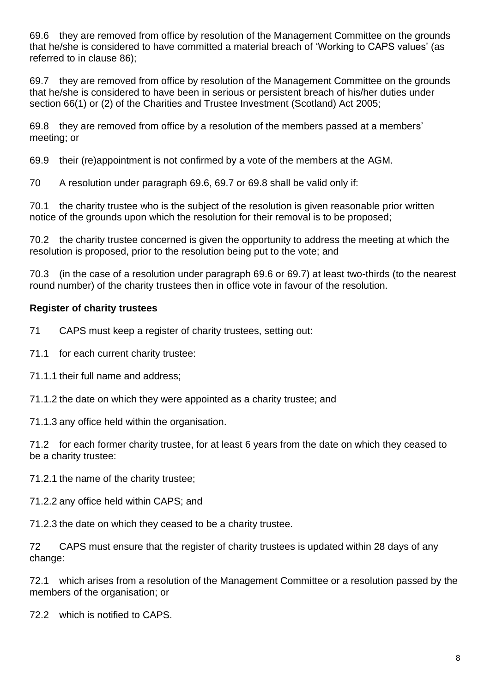69.6 they are removed from office by resolution of the Management Committee on the grounds that he/she is considered to have committed a material breach of 'Working to CAPS values' (as referred to in clause 86);

69.7 they are removed from office by resolution of the Management Committee on the grounds that he/she is considered to have been in serious or persistent breach of his/her duties under section 66(1) or (2) of the Charities and Trustee Investment (Scotland) Act 2005;

69.8 they are removed from office by a resolution of the members passed at a members' meeting; or

69.9 their (re)appointment is not confirmed by a vote of the members at the AGM.

70 A resolution under paragraph 69.6, 69.7 or 69.8 shall be valid only if:

70.1 the charity trustee who is the subject of the resolution is given reasonable prior written notice of the grounds upon which the resolution for their removal is to be proposed;

70.2 the charity trustee concerned is given the opportunity to address the meeting at which the resolution is proposed, prior to the resolution being put to the vote; and

70.3 (in the case of a resolution under paragraph 69.6 or 69.7) at least two-thirds (to the nearest round number) of the charity trustees then in office vote in favour of the resolution.

### **Register of charity trustees**

71 CAPS must keep a register of charity trustees, setting out:

71.1 for each current charity trustee:

71.1.1 their full name and address;

71.1.2 the date on which they were appointed as a charity trustee; and

71.1.3 any office held within the organisation.

71.2 for each former charity trustee, for at least 6 years from the date on which they ceased to be a charity trustee:

71.2.1 the name of the charity trustee;

71.2.2 any office held within CAPS; and

71.2.3 the date on which they ceased to be a charity trustee.

72 CAPS must ensure that the register of charity trustees is updated within 28 days of any change:

72.1 which arises from a resolution of the Management Committee or a resolution passed by the members of the organisation; or

72.2 which is notified to CAPS.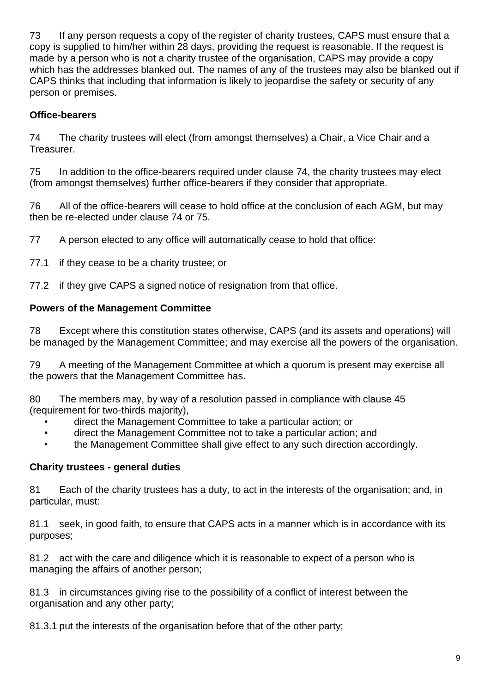73 If any person requests a copy of the register of charity trustees, CAPS must ensure that a copy is supplied to him/her within 28 days, providing the request is reasonable. If the request is made by a person who is not a charity trustee of the organisation, CAPS may provide a copy which has the addresses blanked out. The names of any of the trustees may also be blanked out if CAPS thinks that including that information is likely to jeopardise the safety or security of any person or premises.

### **Office-bearers**

74 The charity trustees will elect (from amongst themselves) a Chair, a Vice Chair and a Treasurer.

75 In addition to the office-bearers required under clause 74, the charity trustees may elect (from amongst themselves) further office-bearers if they consider that appropriate.

76 All of the office-bearers will cease to hold office at the conclusion of each AGM, but may then be re-elected under clause 74 or 75.

77 A person elected to any office will automatically cease to hold that office:

77.1 if they cease to be a charity trustee; or

77.2 if they give CAPS a signed notice of resignation from that office.

### **Powers of the Management Committee**

78 Except where this constitution states otherwise, CAPS (and its assets and operations) will be managed by the Management Committee; and may exercise all the powers of the organisation.

79 A meeting of the Management Committee at which a quorum is present may exercise all the powers that the Management Committee has.

80 The members may, by way of a resolution passed in compliance with clause 45 (requirement for two-thirds majority),

- direct the Management Committee to take a particular action; or
- direct the Management Committee not to take a particular action; and
- the Management Committee shall give effect to any such direction accordingly.

### **Charity trustees - general duties**

81 Each of the charity trustees has a duty, to act in the interests of the organisation; and, in particular, must:

81.1 seek, in good faith, to ensure that CAPS acts in a manner which is in accordance with its purposes;

81.2 act with the care and diligence which it is reasonable to expect of a person who is managing the affairs of another person;

81.3 in circumstances giving rise to the possibility of a conflict of interest between the organisation and any other party;

81.3.1 put the interests of the organisation before that of the other party;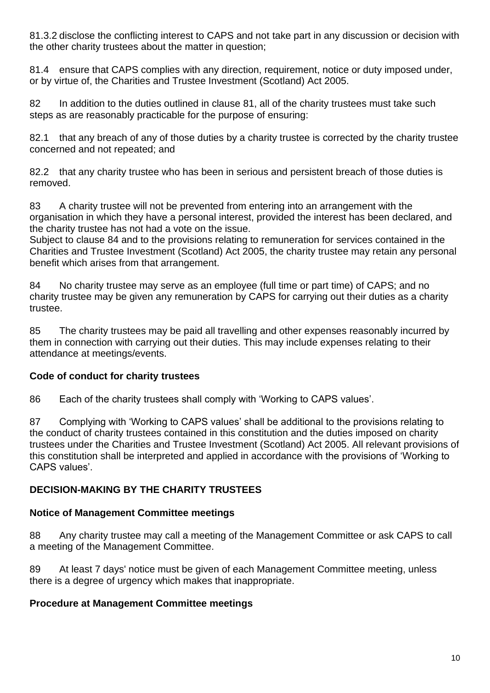81.3.2 disclose the conflicting interest to CAPS and not take part in any discussion or decision with the other charity trustees about the matter in question;

81.4 ensure that CAPS complies with any direction, requirement, notice or duty imposed under, or by virtue of, the Charities and Trustee Investment (Scotland) Act 2005.

82 In addition to the duties outlined in clause 81, all of the charity trustees must take such steps as are reasonably practicable for the purpose of ensuring:

82.1 that any breach of any of those duties by a charity trustee is corrected by the charity trustee concerned and not repeated; and

82.2 that any charity trustee who has been in serious and persistent breach of those duties is removed.

83 A charity trustee will not be prevented from entering into an arrangement with the organisation in which they have a personal interest, provided the interest has been declared, and the charity trustee has not had a vote on the issue.

Subject to clause 84 and to the provisions relating to remuneration for services contained in the Charities and Trustee Investment (Scotland) Act 2005, the charity trustee may retain any personal benefit which arises from that arrangement.

84 No charity trustee may serve as an employee (full time or part time) of CAPS; and no charity trustee may be given any remuneration by CAPS for carrying out their duties as a charity trustee.

85 The charity trustees may be paid all travelling and other expenses reasonably incurred by them in connection with carrying out their duties. This may include expenses relating to their attendance at meetings/events.

## **Code of conduct for charity trustees**

86 Each of the charity trustees shall comply with 'Working to CAPS values'.

87 Complying with 'Working to CAPS values' shall be additional to the provisions relating to the conduct of charity trustees contained in this constitution and the duties imposed on charity trustees under the Charities and Trustee Investment (Scotland) Act 2005. All relevant provisions of this constitution shall be interpreted and applied in accordance with the provisions of 'Working to CAPS values'.

## **DECISION-MAKING BY THE CHARITY TRUSTEES**

### **Notice of Management Committee meetings**

88 Any charity trustee may call a meeting of the Management Committee or ask CAPS to call a meeting of the Management Committee.

89 At least 7 days' notice must be given of each Management Committee meeting, unless there is a degree of urgency which makes that inappropriate.

### **Procedure at Management Committee meetings**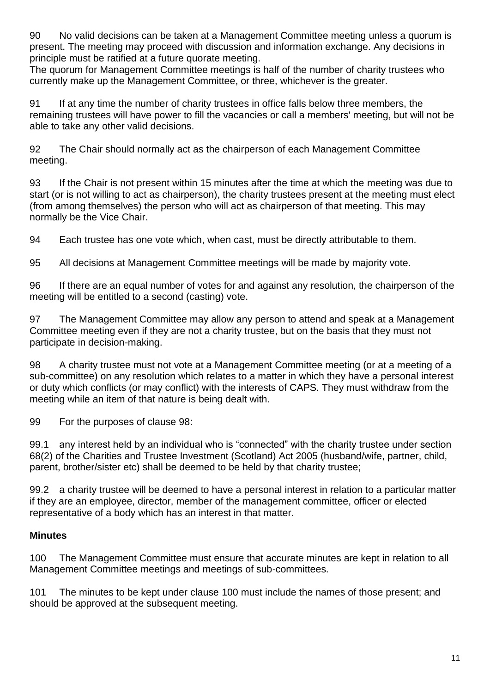90 No valid decisions can be taken at a Management Committee meeting unless a quorum is present. The meeting may proceed with discussion and information exchange. Any decisions in principle must be ratified at a future quorate meeting.

The quorum for Management Committee meetings is half of the number of charity trustees who currently make up the Management Committee, or three, whichever is the greater.

91 If at any time the number of charity trustees in office falls below three members, the remaining trustees will have power to fill the vacancies or call a members' meeting, but will not be able to take any other valid decisions.

92 The Chair should normally act as the chairperson of each Management Committee meeting.

93 If the Chair is not present within 15 minutes after the time at which the meeting was due to start (or is not willing to act as chairperson), the charity trustees present at the meeting must elect (from among themselves) the person who will act as chairperson of that meeting. This may normally be the Vice Chair.

94 Each trustee has one vote which, when cast, must be directly attributable to them.

95 All decisions at Management Committee meetings will be made by majority vote.

96 If there are an equal number of votes for and against any resolution, the chairperson of the meeting will be entitled to a second (casting) vote.

97 The Management Committee may allow any person to attend and speak at a Management Committee meeting even if they are not a charity trustee, but on the basis that they must not participate in decision-making.

98 A charity trustee must not vote at a Management Committee meeting (or at a meeting of a sub-committee) on any resolution which relates to a matter in which they have a personal interest or duty which conflicts (or may conflict) with the interests of CAPS. They must withdraw from the meeting while an item of that nature is being dealt with.

99 For the purposes of clause 98:

99.1 any interest held by an individual who is "connected" with the charity trustee under section 68(2) of the Charities and Trustee Investment (Scotland) Act 2005 (husband/wife, partner, child, parent, brother/sister etc) shall be deemed to be held by that charity trustee;

99.2 a charity trustee will be deemed to have a personal interest in relation to a particular matter if they are an employee, director, member of the management committee, officer or elected representative of a body which has an interest in that matter.

### **Minutes**

100 The Management Committee must ensure that accurate minutes are kept in relation to all Management Committee meetings and meetings of sub-committees.

101 The minutes to be kept under clause 100 must include the names of those present; and should be approved at the subsequent meeting.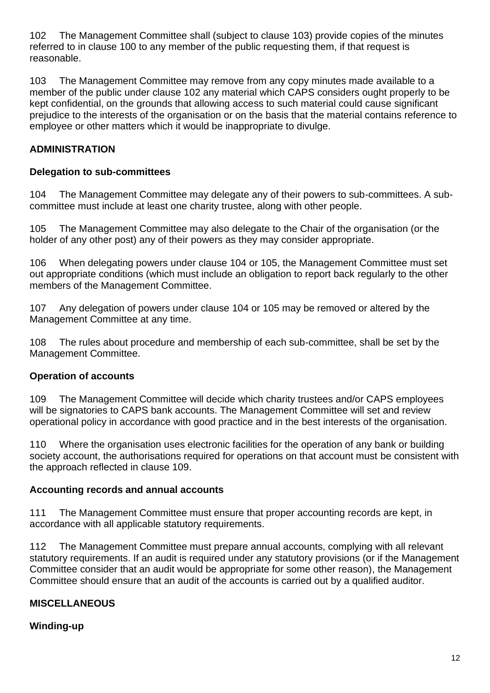102 The Management Committee shall (subject to clause 103) provide copies of the minutes referred to in clause 100 to any member of the public requesting them, if that request is reasonable.

103 The Management Committee may remove from any copy minutes made available to a member of the public under clause 102 any material which CAPS considers ought properly to be kept confidential, on the grounds that allowing access to such material could cause significant prejudice to the interests of the organisation or on the basis that the material contains reference to employee or other matters which it would be inappropriate to divulge.

### **ADMINISTRATION**

#### **Delegation to sub-committees**

104 The Management Committee may delegate any of their powers to sub-committees. A subcommittee must include at least one charity trustee, along with other people.

105 The Management Committee may also delegate to the Chair of the organisation (or the holder of any other post) any of their powers as they may consider appropriate.

106 When delegating powers under clause 104 or 105, the Management Committee must set out appropriate conditions (which must include an obligation to report back regularly to the other members of the Management Committee.

107 Any delegation of powers under clause 104 or 105 may be removed or altered by the Management Committee at any time.

108 The rules about procedure and membership of each sub-committee, shall be set by the Management Committee.

### **Operation of accounts**

109 The Management Committee will decide which charity trustees and/or CAPS employees will be signatories to CAPS bank accounts. The Management Committee will set and review operational policy in accordance with good practice and in the best interests of the organisation.

110 Where the organisation uses electronic facilities for the operation of any bank or building society account, the authorisations required for operations on that account must be consistent with the approach reflected in clause 109.

#### **Accounting records and annual accounts**

111 The Management Committee must ensure that proper accounting records are kept, in accordance with all applicable statutory requirements.

112 The Management Committee must prepare annual accounts, complying with all relevant statutory requirements. If an audit is required under any statutory provisions (or if the Management Committee consider that an audit would be appropriate for some other reason), the Management Committee should ensure that an audit of the accounts is carried out by a qualified auditor.

### **MISCELLANEOUS**

### **Winding-up**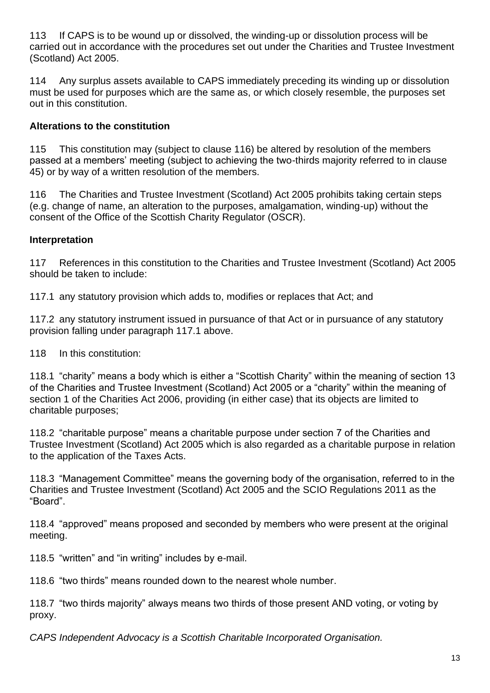113 If CAPS is to be wound up or dissolved, the winding-up or dissolution process will be carried out in accordance with the procedures set out under the Charities and Trustee Investment (Scotland) Act 2005.

114 Any surplus assets available to CAPS immediately preceding its winding up or dissolution must be used for purposes which are the same as, or which closely resemble, the purposes set out in this constitution.

## **Alterations to the constitution**

115 This constitution may (subject to clause 116) be altered by resolution of the members passed at a members' meeting (subject to achieving the two-thirds majority referred to in clause 45) or by way of a written resolution of the members.

116 The Charities and Trustee Investment (Scotland) Act 2005 prohibits taking certain steps (e.g. change of name, an alteration to the purposes, amalgamation, winding-up) without the consent of the Office of the Scottish Charity Regulator (OSCR).

### **Interpretation**

117 References in this constitution to the Charities and Trustee Investment (Scotland) Act 2005 should be taken to include:

117.1 any statutory provision which adds to, modifies or replaces that Act; and

117.2 any statutory instrument issued in pursuance of that Act or in pursuance of any statutory provision falling under paragraph 117.1 above.

118 In this constitution:

118.1 "charity" means a body which is either a "Scottish Charity" within the meaning of section 13 of the Charities and Trustee Investment (Scotland) Act 2005 or a "charity" within the meaning of section 1 of the Charities Act 2006, providing (in either case) that its objects are limited to charitable purposes;

118.2 "charitable purpose" means a charitable purpose under section 7 of the Charities and Trustee Investment (Scotland) Act 2005 which is also regarded as a charitable purpose in relation to the application of the Taxes Acts.

118.3 "Management Committee" means the governing body of the organisation, referred to in the Charities and Trustee Investment (Scotland) Act 2005 and the SCIO Regulations 2011 as the "Board".

118.4 "approved" means proposed and seconded by members who were present at the original meeting.

118.5 "written" and "in writing" includes by e-mail.

118.6 "two thirds" means rounded down to the nearest whole number.

118.7 "two thirds majority" always means two thirds of those present AND voting, or voting by proxy.

*CAPS Independent Advocacy is a Scottish Charitable Incorporated Organisation.*